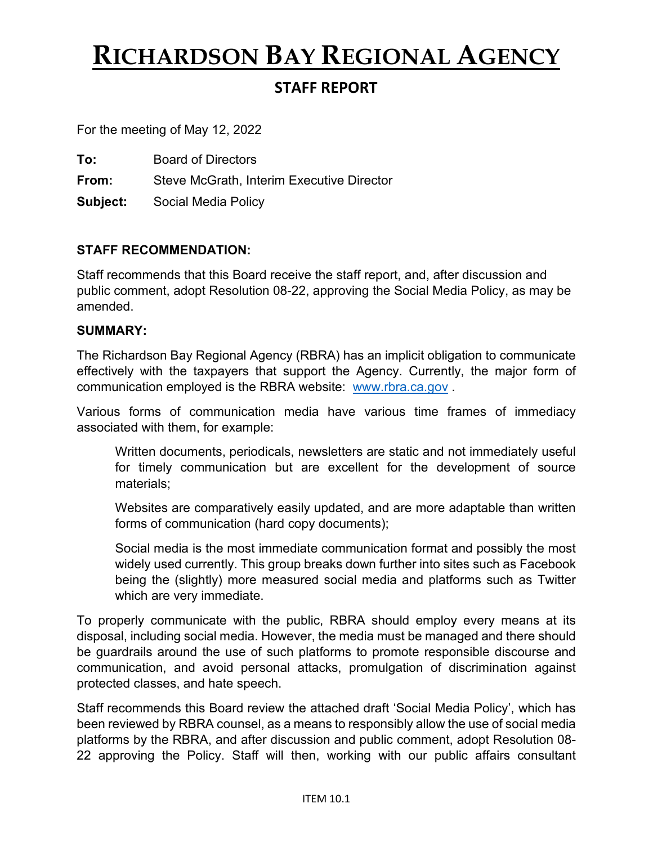# **RICHARDSON BAY REGIONAL AGENCY**

# **STAFF REPORT**

For the meeting of May 12, 2022

**To:** Board of Directors

**From:** Steve McGrath, Interim Executive Director

**Subject:** Social Media Policy

### **STAFF RECOMMENDATION:**

Staff recommends that this Board receive the staff report, and, after discussion and public comment, adopt Resolution 08-22, approving the Social Media Policy, as may be amended.

#### **SUMMARY:**

The Richardson Bay Regional Agency (RBRA) has an implicit obligation to communicate effectively with the taxpayers that support the Agency. Currently, the major form of communication employed is the RBRA website: [www.rbra.ca.gov](http://www.rbra.ca.gov/) .

Various forms of communication media have various time frames of immediacy associated with them, for example:

Written documents, periodicals, newsletters are static and not immediately useful for timely communication but are excellent for the development of source materials;

Websites are comparatively easily updated, and are more adaptable than written forms of communication (hard copy documents);

Social media is the most immediate communication format and possibly the most widely used currently. This group breaks down further into sites such as Facebook being the (slightly) more measured social media and platforms such as Twitter which are very immediate.

To properly communicate with the public, RBRA should employ every means at its disposal, including social media. However, the media must be managed and there should be guardrails around the use of such platforms to promote responsible discourse and communication, and avoid personal attacks, promulgation of discrimination against protected classes, and hate speech.

Staff recommends this Board review the attached draft 'Social Media Policy', which has been reviewed by RBRA counsel, as a means to responsibly allow the use of social media platforms by the RBRA, and after discussion and public comment, adopt Resolution 08- 22 approving the Policy. Staff will then, working with our public affairs consultant